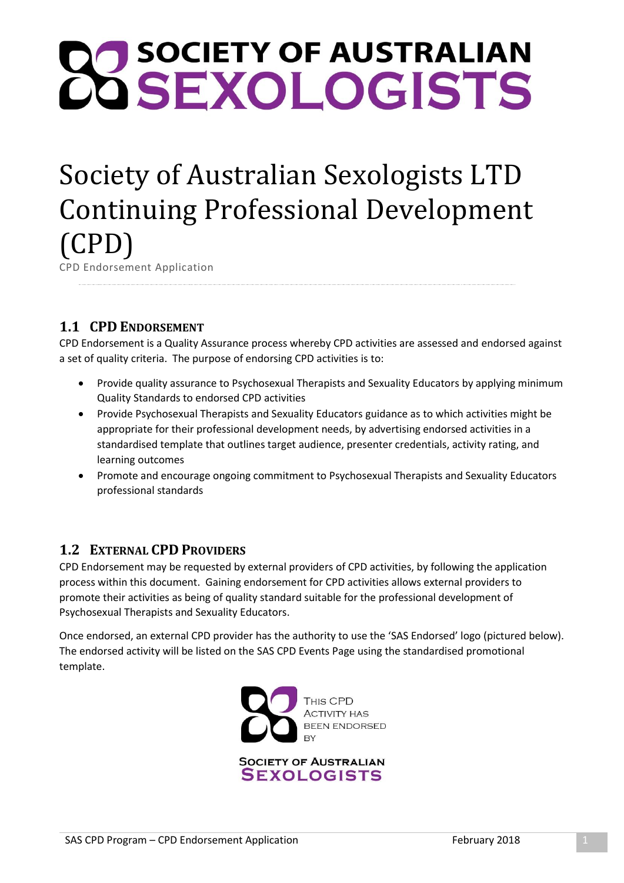# **SOCIETY OF AUSTRALIAN OO SOCIETY OF AUSTRALIAN<br>CO SEXOLOGISTS**

## Society of Australian Sexologists LTD Continuing Professional Development (CPD)

CPD Endorsement Application

#### **1.1 CPD ENDORSEMENT**

CPD Endorsement is a Quality Assurance process whereby CPD activities are assessed and endorsed against a set of quality criteria. The purpose of endorsing CPD activities is to:

- Provide quality assurance to Psychosexual Therapists and Sexuality Educators by applying minimum Quality Standards to endorsed CPD activities
- Provide Psychosexual Therapists and Sexuality Educators guidance as to which activities might be appropriate for their professional development needs, by advertising endorsed activities in a standardised template that outlines target audience, presenter credentials, activity rating, and learning outcomes
- Promote and encourage ongoing commitment to Psychosexual Therapists and Sexuality Educators professional standards

#### **1.2 EXTERNAL CPD PROVIDERS**

CPD Endorsement may be requested by external providers of CPD activities, by following the application process within this document. Gaining endorsement for CPD activities allows external providers to promote their activities as being of quality standard suitable for the professional development of Psychosexual Therapists and Sexuality Educators.

Once endorsed, an external CPD provider has the authority to use the 'SAS Endorsed' logo (pictured below). The endorsed activity will be listed on the SAS CPD Events Page using the standardised promotional template.

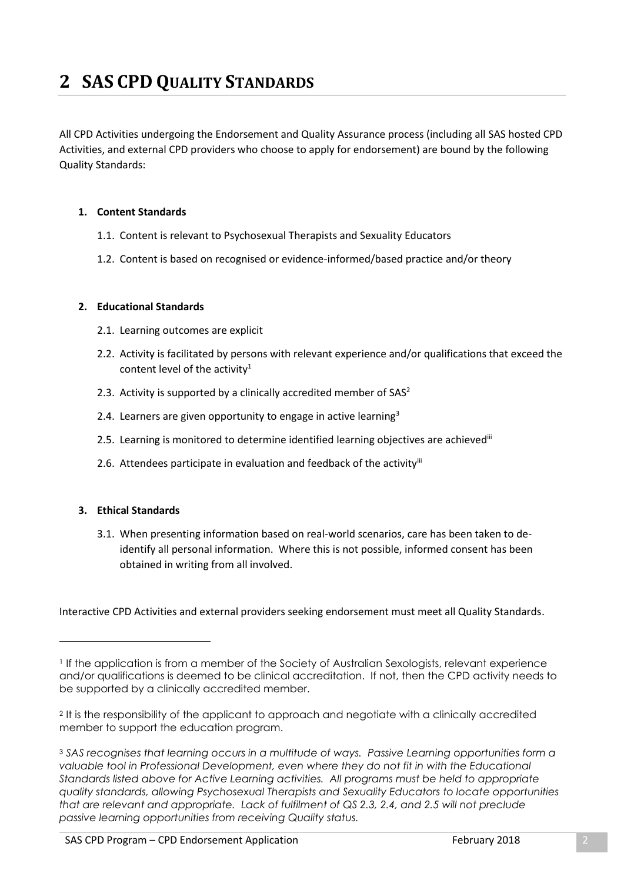## **2 SAS CPD QUALITY STANDARDS**

All CPD Activities undergoing the Endorsement and Quality Assurance process (including all SAS hosted CPD Activities, and external CPD providers who choose to apply for endorsement) are bound by the following Quality Standards:

#### **1. Content Standards**

- 1.1. Content is relevant to Psychosexual Therapists and Sexuality Educators
- 1.2. Content is based on recognised or evidence-informed/based practice and/or theory

#### **2. Educational Standards**

- 2.1. Learning outcomes are explicit
- 2.2. Activity is facilitated by persons with relevant experience and/or qualifications that exceed the content level of the activity $1$
- 2.3. Activity is supported by a clinically accredited member of  $SAS<sup>2</sup>$
- 2.4. Learners are given opportunity to engage in active learning<sup>3</sup>
- 2.5. Learning is monitored to determine identified learning objectives are achieved<sup>iii</sup>
- 2.6. Attendees participate in evaluation and feedback of the activity<sup>iii</sup>

#### **3. Ethical Standards**

3.1. When presenting information based on real-world scenarios, care has been taken to deidentify all personal information. Where this is not possible, informed consent has been obtained in writing from all involved.

Interactive CPD Activities and external providers seeking endorsement must meet all Quality Standards.

<sup>1</sup> If the application is from a member of the Society of Australian Sexologists, relevant experience and/or qualifications is deemed to be clinical accreditation. If not, then the CPD activity needs to be supported by a clinically accredited member.

<sup>2</sup> It is the responsibility of the applicant to approach and negotiate with a clinically accredited member to support the education program.

<sup>3</sup> *SAS recognises that learning occurs in a multitude of ways. Passive Learning opportunities form a*  valuable tool in Professional Development, even where they do not fit in with the Educational *Standards listed above for Active Learning activities. All programs must be held to appropriate quality standards, allowing Psychosexual Therapists and Sexuality Educators to locate opportunities that are relevant and appropriate. Lack of fulfilment of QS 2.3, 2.4, and 2.5 will not preclude passive learning opportunities from receiving Quality status.*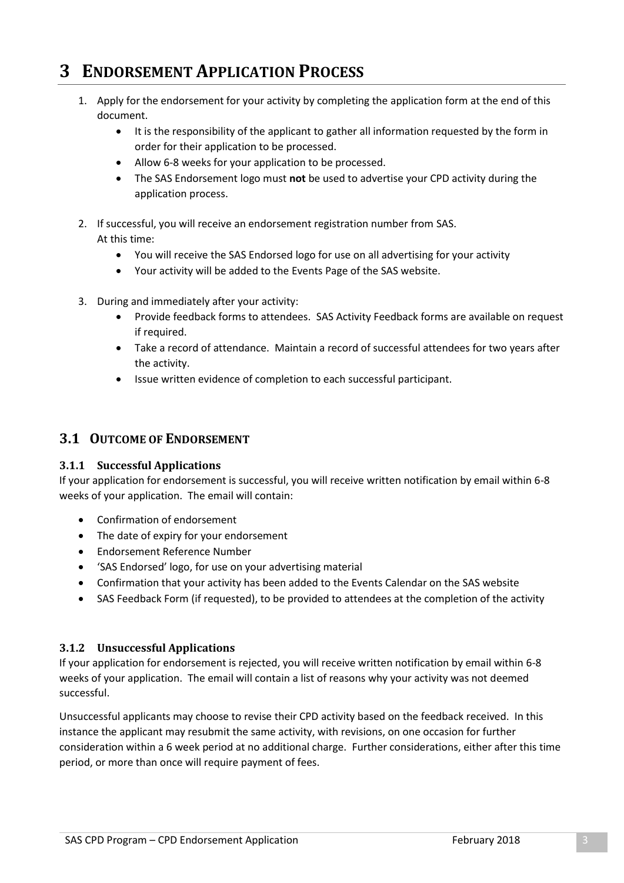### **3 ENDORSEMENT APPLICATION PROCESS**

- 1. Apply for the endorsement for your activity by completing the application form at the end of this document.
	- It is the responsibility of the applicant to gather all information requested by the form in order for their application to be processed.
	- Allow 6-8 weeks for your application to be processed.
	- The SAS Endorsement logo must **not** be used to advertise your CPD activity during the application process.
- 2. If successful, you will receive an endorsement registration number from SAS. At this time:
	- You will receive the SAS Endorsed logo for use on all advertising for your activity
	- Your activity will be added to the Events Page of the SAS website.
- 3. During and immediately after your activity:
	- Provide feedback forms to attendees. SAS Activity Feedback forms are available on request if required.
	- Take a record of attendance. Maintain a record of successful attendees for two years after the activity.
	- Issue written evidence of completion to each successful participant.

#### **3.1 OUTCOME OF ENDORSEMENT**

#### **3.1.1 Successful Applications**

If your application for endorsement is successful, you will receive written notification by email within 6-8 weeks of your application. The email will contain:

- Confirmation of endorsement
- The date of expiry for your endorsement
- Endorsement Reference Number
- 'SAS Endorsed' logo, for use on your advertising material
- Confirmation that your activity has been added to the Events Calendar on the SAS website
- SAS Feedback Form (if requested), to be provided to attendees at the completion of the activity

#### **3.1.2 Unsuccessful Applications**

If your application for endorsement is rejected, you will receive written notification by email within 6-8 weeks of your application. The email will contain a list of reasons why your activity was not deemed successful.

Unsuccessful applicants may choose to revise their CPD activity based on the feedback received. In this instance the applicant may resubmit the same activity, with revisions, on one occasion for further consideration within a 6 week period at no additional charge. Further considerations, either after this time period, or more than once will require payment of fees.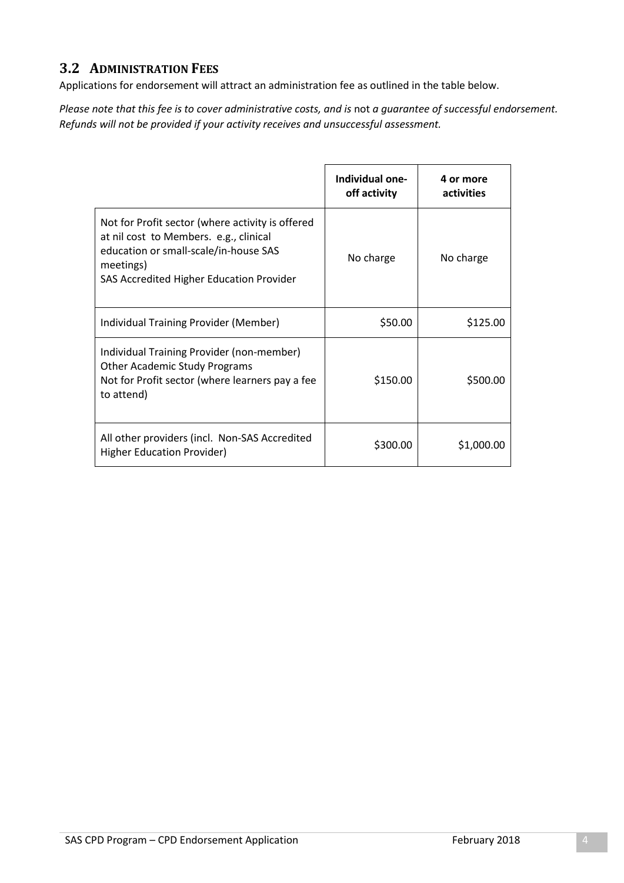#### **3.2 ADMINISTRATION FEES**

Applications for endorsement will attract an administration fee as outlined in the table below.

*Please note that this fee is to cover administrative costs, and is not a guarantee of successful endorsement. Refunds will not be provided if your activity receives and unsuccessful assessment.*

|                                                                                                                                                                                              | Individual one-<br>off activity | 4 or more<br>activities |
|----------------------------------------------------------------------------------------------------------------------------------------------------------------------------------------------|---------------------------------|-------------------------|
| Not for Profit sector (where activity is offered<br>at nil cost to Members. e.g., clinical<br>education or small-scale/in-house SAS<br>meetings)<br>SAS Accredited Higher Education Provider | No charge                       | No charge               |
| Individual Training Provider (Member)                                                                                                                                                        | \$50.00                         | \$125.00                |
| Individual Training Provider (non-member)<br><b>Other Academic Study Programs</b><br>Not for Profit sector (where learners pay a fee<br>to attend)                                           | \$150.00                        | \$500.00                |
| All other providers (incl. Non-SAS Accredited<br><b>Higher Education Provider)</b>                                                                                                           | \$300.00                        | \$1,000.00              |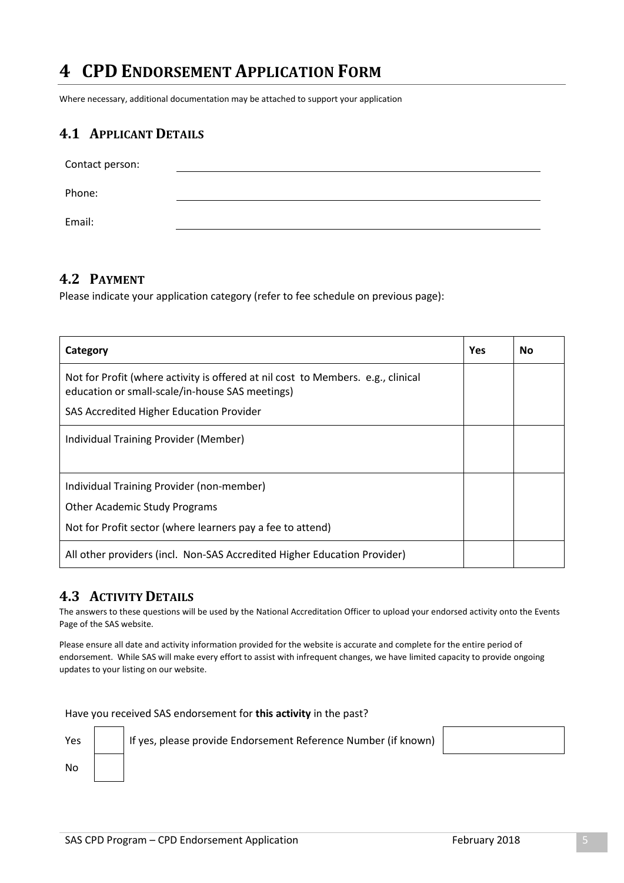## **4 CPD ENDORSEMENT APPLICATION FORM**

Where necessary, additional documentation may be attached to support your application

#### **4.1 APPLICANT DETAILS**

| Contact person: |  |  |
|-----------------|--|--|
|                 |  |  |
| Phone:          |  |  |
| Email:          |  |  |

#### **4.2 PAYMENT**

Please indicate your application category (refer to fee schedule on previous page):

| Category                                                                                                                            | <b>Yes</b> | <b>No</b> |
|-------------------------------------------------------------------------------------------------------------------------------------|------------|-----------|
| Not for Profit (where activity is offered at nil cost to Members. e.g., clinical<br>education or small-scale/in-house SAS meetings) |            |           |
| SAS Accredited Higher Education Provider                                                                                            |            |           |
| Individual Training Provider (Member)                                                                                               |            |           |
|                                                                                                                                     |            |           |
| Individual Training Provider (non-member)                                                                                           |            |           |
| <b>Other Academic Study Programs</b>                                                                                                |            |           |
| Not for Profit sector (where learners pay a fee to attend)                                                                          |            |           |
| All other providers (incl. Non-SAS Accredited Higher Education Provider)                                                            |            |           |

#### **4.3 ACTIVITY DETAILS**

The answers to these questions will be used by the National Accreditation Officer to upload your endorsed activity onto the Events Page of the SAS website.

Please ensure all date and activity information provided for the website is accurate and complete for the entire period of endorsement. While SAS will make every effort to assist with infrequent changes, we have limited capacity to provide ongoing updates to your listing on our website.

Have you received SAS endorsement for **this activity** in the past?

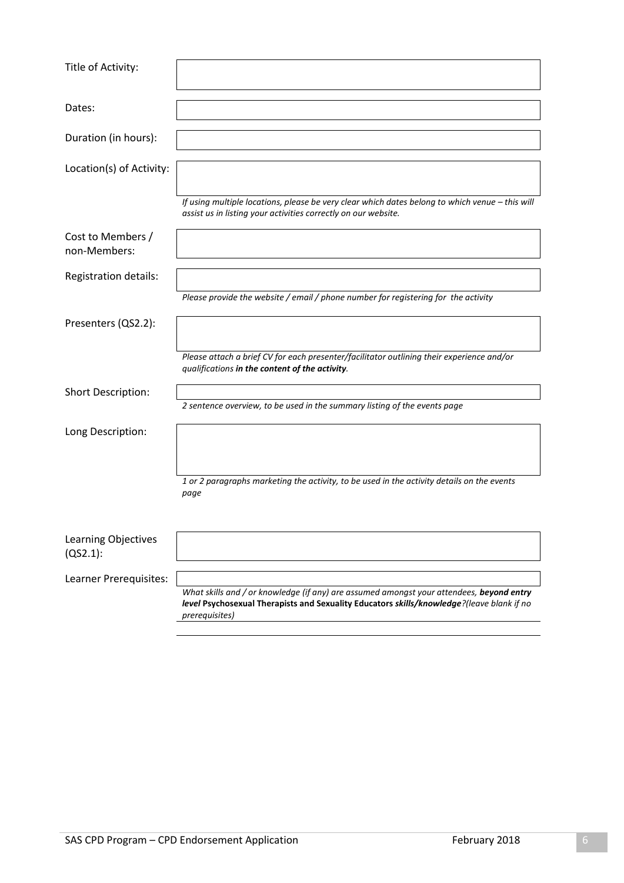| Title of Activity:                 |                                                                                                                                                                                                         |
|------------------------------------|---------------------------------------------------------------------------------------------------------------------------------------------------------------------------------------------------------|
| Dates:                             |                                                                                                                                                                                                         |
| Duration (in hours):               |                                                                                                                                                                                                         |
| Location(s) of Activity:           |                                                                                                                                                                                                         |
|                                    | If using multiple locations, please be very clear which dates belong to which venue - this will<br>assist us in listing your activities correctly on our website.                                       |
| Cost to Members /<br>non-Members:  |                                                                                                                                                                                                         |
| Registration details:              |                                                                                                                                                                                                         |
|                                    | Please provide the website / email / phone number for registering for the activity                                                                                                                      |
| Presenters (QS2.2):                |                                                                                                                                                                                                         |
|                                    | Please attach a brief CV for each presenter/facilitator outlining their experience and/or<br>qualifications in the content of the activity.                                                             |
| Short Description:                 |                                                                                                                                                                                                         |
|                                    | 2 sentence overview, to be used in the summary listing of the events page                                                                                                                               |
| Long Description:                  |                                                                                                                                                                                                         |
|                                    | 1 or 2 paragraphs marketing the activity, to be used in the activity details on the events<br>page                                                                                                      |
| Learning Objectives<br>$(QS2.1)$ : |                                                                                                                                                                                                         |
|                                    |                                                                                                                                                                                                         |
| Learner Prerequisites:             | What skills and / or knowledge (if any) are assumed amongst your attendees, beyond entry<br>level Psychosexual Therapists and Sexuality Educators skills/knowledge?(leave blank if no<br>prerequisites) |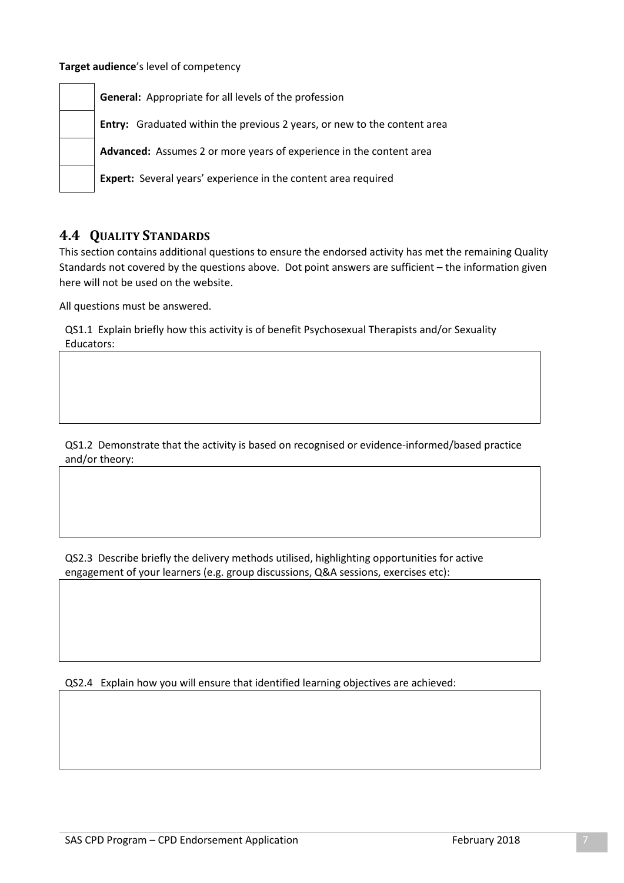**Target audience**'s level of competency

**General:** Appropriate for all levels of the profession **Entry:** Graduated within the previous 2 years, or new to the content area **Advanced:** Assumes 2 or more years of experience in the content area **Expert:** Several years' experience in the content area required

#### **4.4 QUALITY STANDARDS**

This section contains additional questions to ensure the endorsed activity has met the remaining Quality Standards not covered by the questions above. Dot point answers are sufficient – the information given here will not be used on the website.

All questions must be answered.

QS1.1 Explain briefly how this activity is of benefit Psychosexual Therapists and/or Sexuality Educators:

QS1.2 Demonstrate that the activity is based on recognised or evidence-informed/based practice and/or theory:

QS2.3 Describe briefly the delivery methods utilised, highlighting opportunities for active engagement of your learners (e.g. group discussions, Q&A sessions, exercises etc):

QS2.4 Explain how you will ensure that identified learning objectives are achieved: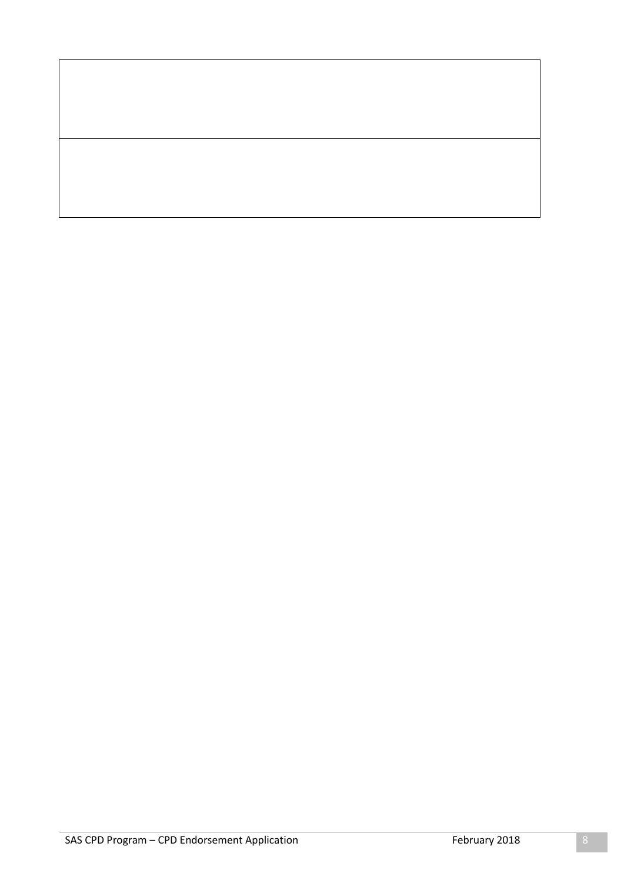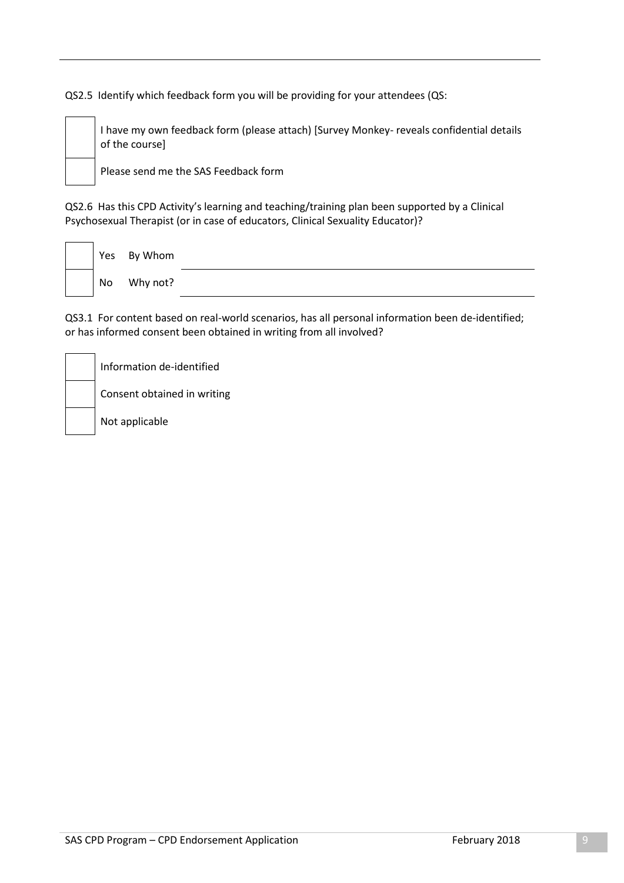QS2.5 Identify which feedback form you will be providing for your attendees (QS:

I have my own feedback form (please attach) [Survey Monkey- reveals confidential details of the course]

Please send me the SAS Feedback form

QS2.6 Has this CPD Activity's learning and teaching/training plan been supported by a Clinical Psychosexual Therapist (or in case of educators, Clinical Sexuality Educator)?

|    | Yes By Whom |  |
|----|-------------|--|
| No | Why not?    |  |

QS3.1 For content based on real-world scenarios, has all personal information been de-identified; or has informed consent been obtained in writing from all involved?

| Information de-identified   |
|-----------------------------|
| Consent obtained in writing |

Not applicable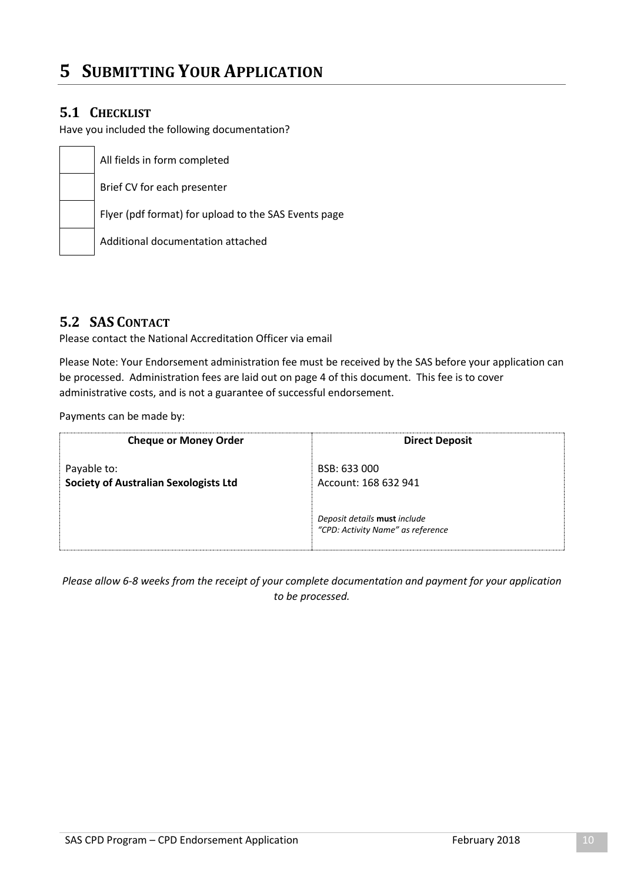## **5 SUBMITTING YOUR APPLICATION**

#### **5.1 CHECKLIST**

Have you included the following documentation?

| All fields in form completed                         |
|------------------------------------------------------|
| Brief CV for each presenter                          |
| Flyer (pdf format) for upload to the SAS Events page |
| Additional documentation attached                    |

#### **5.2 SAS CONTACT**

Please contact the National Accreditation Officer via email

Please Note: Your Endorsement administration fee must be received by the SAS before your application can be processed. Administration fees are laid out on page 4 of this document. This fee is to cover administrative costs, and is not a guarantee of successful endorsement.

Payments can be made by:

| <b>Cheque or Money Order</b>                                | <b>Direct Deposit</b>                                             |
|-------------------------------------------------------------|-------------------------------------------------------------------|
| Payable to:<br><b>Society of Australian Sexologists Ltd</b> | BSB: 633 000<br>Account: 168 632 941                              |
|                                                             | Deposit details must include<br>"CPD: Activity Name" as reference |

*Please allow 6-8 weeks from the receipt of your complete documentation and payment for your application to be processed.*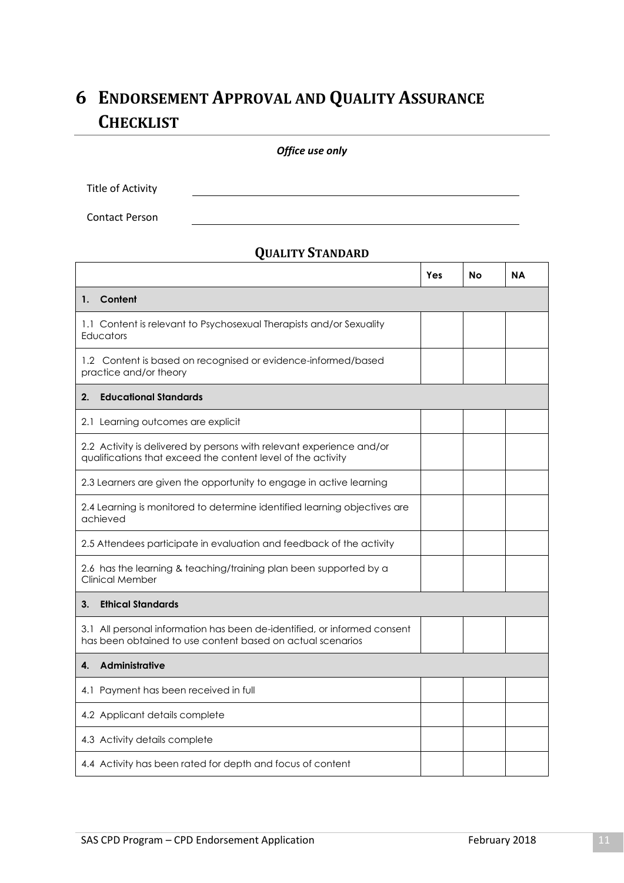## **6 ENDORSEMENT APPROVAL AND QUALITY ASSURANCE CHECKLIST**

|                   | Office use only |  |
|-------------------|-----------------|--|
| Title of Activity |                 |  |
| Contact Person    |                 |  |

#### **QUALITY STANDARD**

|                                                                                                                                        | Yes | No | <b>NA</b> |
|----------------------------------------------------------------------------------------------------------------------------------------|-----|----|-----------|
| Content<br>$\mathbf{1}$ .                                                                                                              |     |    |           |
| 1.1 Content is relevant to Psychosexual Therapists and/or Sexuality<br>Educators                                                       |     |    |           |
| 1.2 Content is based on recognised or evidence-informed/based<br>practice and/or theory                                                |     |    |           |
| <b>Educational Standards</b><br>$2_{\cdot}$                                                                                            |     |    |           |
| 2.1 Learning outcomes are explicit                                                                                                     |     |    |           |
| 2.2 Activity is delivered by persons with relevant experience and/or<br>qualifications that exceed the content level of the activity   |     |    |           |
| 2.3 Learners are given the opportunity to engage in active learning                                                                    |     |    |           |
| 2.4 Learning is monitored to determine identified learning objectives are<br>achieved                                                  |     |    |           |
| 2.5 Attendees participate in evaluation and feedback of the activity                                                                   |     |    |           |
| 2.6 has the learning & teaching/training plan been supported by a<br>Clinical Member                                                   |     |    |           |
| <b>Ethical Standards</b><br>З.                                                                                                         |     |    |           |
| 3.1 All personal information has been de-identified, or informed consent<br>has been obtained to use content based on actual scenarios |     |    |           |
| Administrative<br>4.                                                                                                                   |     |    |           |
| 4.1 Payment has been received in full                                                                                                  |     |    |           |
| 4.2 Applicant details complete                                                                                                         |     |    |           |
| 4.3 Activity details complete                                                                                                          |     |    |           |
| 4.4 Activity has been rated for depth and focus of content                                                                             |     |    |           |